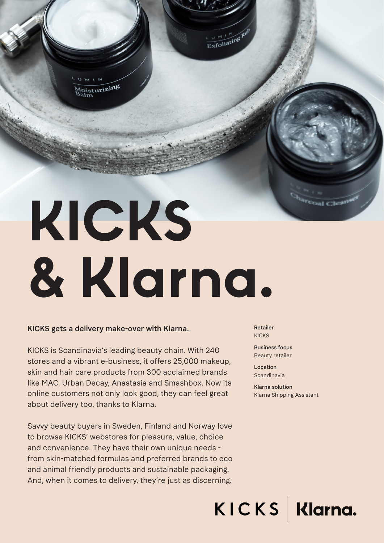loisturizing

# **KICKS & Klarna.**

#### KICKS gets a delivery make-over with Klarna.

KICKS is Scandinavia's leading beauty chain. With 240 stores and a vibrant e-business, it offers 25,000 makeup, skin and hair care products from 300 acclaimed brands like MAC, Urban Decay, Anastasia and Smashbox. Now its online customers not only look good, they can feel great about delivery too, thanks to Klarna.

Savvy beauty buyers in Sweden, Finland and Norway love to browse KICKS' webstores for pleasure, value, choice and convenience. They have their own unique needs from skin-matched formulas and preferred brands to eco and animal friendly products and sustainable packaging. And, when it comes to delivery, they're just as discerning.

Retailer KICKS

Exfoliating Rul

Business focus Beauty retailer

Location Scandinavia

Klarna solution Klarna Shipping Assistant

KICKS Klarna.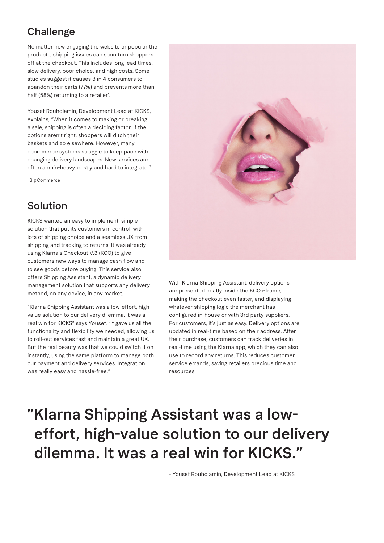### **Challenge**

No matter how engaging the website or popular the products, shipping issues can soon turn shoppers off at the checkout. This includes long lead times, slow delivery, poor choice, and high costs. Some studies suggest it causes 3 in 4 consumers to abandon their carts (77%) and prevents more than half (58%) returning to a retailer<sup>1</sup>.

Yousef Rouholamin, Development Lead at KICKS, explains, "When it comes to making or breaking a sale, shipping is often a deciding factor. If the options aren't right, shoppers will ditch their baskets and go elsewhere. However, many ecommerce systems struggle to keep pace with changing delivery landscapes. New services are often admin-heavy, costly and hard to integrate."

1 Big Commerce

#### Solution

KICKS wanted an easy to implement, simple solution that put its customers in control, with lots of shipping choice and a seamless UX from shipping and tracking to returns. It was already using Klarna's Checkout V.3 (KCO) to give customers new ways to manage cash flow and to see goods before buying. This service also offers Shipping Assistant, a dynamic delivery management solution that supports any delivery method, on any device, in any market.

"Klarna Shipping Assistant was a low-effort, highvalue solution to our delivery dilemma. It was a real win for KICKS" says Yousef. "It gave us all the functionality and flexibility we needed, allowing us to roll-out services fast and maintain a great UX. But the real beauty was that we could switch it on instantly, using the same platform to manage both our payment and delivery services. Integration was really easy and hassle-free."



With Klarna Shipping Assistant, delivery options are presented neatly inside the KCO i-frame, making the checkout even faster, and displaying whatever shipping logic the merchant has configured in-house or with 3rd party suppliers. For customers, it's just as easy. Delivery options are updated in real-time based on their address. After their purchase, customers can track deliveries in real-time using the Klarna app, which they can also use to record any returns. This reduces customer service errands, saving retailers precious time and resources.

## "Klarna Shipping Assistant was a loweffort, high-value solution to our delivery dilemma. It was a real win for KICKS."

- Yousef Rouholamin, Development Lead at KICKS